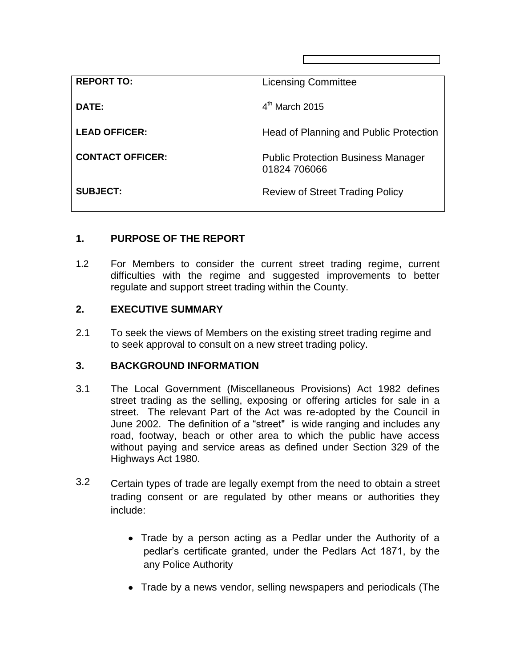| <b>REPORT TO:</b>       | <b>Licensing Committee</b>                                |
|-------------------------|-----------------------------------------------------------|
| DATE:                   | $4th$ March 2015                                          |
| <b>LEAD OFFICER:</b>    | Head of Planning and Public Protection                    |
| <b>CONTACT OFFICER:</b> | <b>Public Protection Business Manager</b><br>01824 706066 |
| <b>SUBJECT:</b>         | <b>Review of Street Trading Policy</b>                    |

## **1. PURPOSE OF THE REPORT**

1.2 For Members to consider the current street trading regime, current difficulties with the regime and suggested improvements to better regulate and support street trading within the County.

#### **2. EXECUTIVE SUMMARY**

2.1 To seek the views of Members on the existing street trading regime and to seek approval to consult on a new street trading policy.

### **3. BACKGROUND INFORMATION**

- 3.1 The Local Government (Miscellaneous Provisions) Act 1982 defines street trading as the selling, exposing or offering articles for sale in a street. The relevant Part of the Act was re-adopted by the Council in June 2002. The definition of a "street" is wide ranging and includes any road, footway, beach or other area to which the public have access without paying and service areas as defined under Section 329 of the Highways Act 1980.
- 3.2 Certain types of trade are legally exempt from the need to obtain a street trading consent or are regulated by other means or authorities they include:
	- Trade by a person acting as a Pedlar under the Authority of a pedlar's certificate granted, under the Pedlars Act 1871, by the any Police Authority
	- Trade by a news vendor, selling newspapers and periodicals (The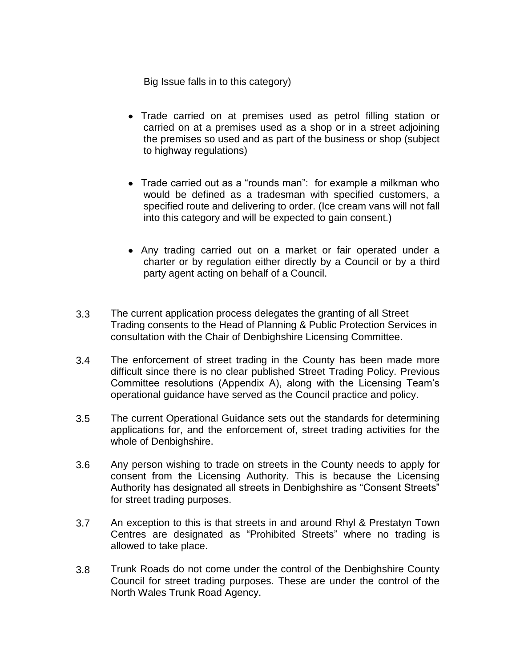Big Issue falls in to this category)

- Trade carried on at premises used as petrol filling station or carried on at a premises used as a shop or in a street adjoining the premises so used and as part of the business or shop (subject to highway regulations)
- Trade carried out as a "rounds man": for example a milkman who would be defined as a tradesman with specified customers, a specified route and delivering to order. (Ice cream vans will not fall into this category and will be expected to gain consent.)
- Any trading carried out on a market or fair operated under a charter or by regulation either directly by a Council or by a third party agent acting on behalf of a Council.
- 3.3 The current application process delegates the granting of all Street Trading consents to the Head of Planning & Public Protection Services in consultation with the Chair of Denbighshire Licensing Committee.
- 3.4 The enforcement of street trading in the County has been made more difficult since there is no clear published Street Trading Policy. Previous Committee resolutions (Appendix A), along with the Licensing Team's operational guidance have served as the Council practice and policy.
- 3.5 The current Operational Guidance sets out the standards for determining applications for, and the enforcement of, street trading activities for the whole of Denbighshire.
- 3.6 Any person wishing to trade on streets in the County needs to apply for consent from the Licensing Authority. This is because the Licensing Authority has designated all streets in Denbighshire as "Consent Streets" for street trading purposes.
- 3.7 An exception to this is that streets in and around Rhyl & Prestatyn Town Centres are designated as "Prohibited Streets" where no trading is allowed to take place.
- 3.8 Trunk Roads do not come under the control of the Denbighshire County Council for street trading purposes. These are under the control of the North Wales Trunk Road Agency.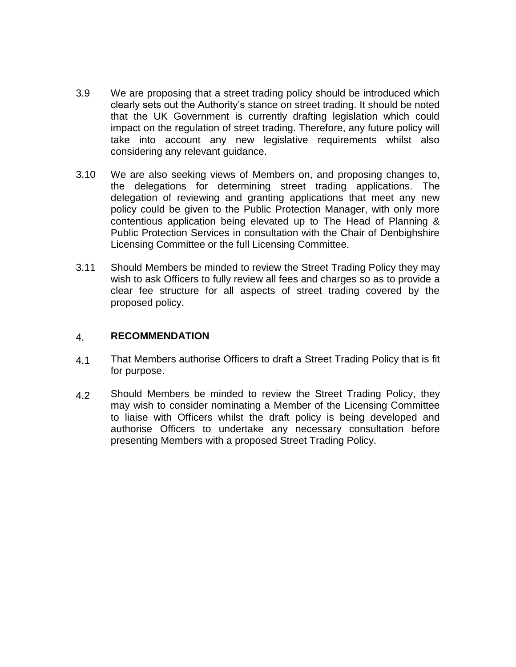- 3.9 We are proposing that a street trading policy should be introduced which clearly sets out the Authority's stance on street trading. It should be noted that the UK Government is currently drafting legislation which could impact on the regulation of street trading. Therefore, any future policy will take into account any new legislative requirements whilst also considering any relevant guidance.
- 3.10 We are also seeking views of Members on, and proposing changes to, the delegations for determining street trading applications. The delegation of reviewing and granting applications that meet any new policy could be given to the Public Protection Manager, with only more contentious application being elevated up to The Head of Planning & Public Protection Services in consultation with the Chair of Denbighshire Licensing Committee or the full Licensing Committee.
- 3.11 Should Members be minded to review the Street Trading Policy they may wish to ask Officers to fully review all fees and charges so as to provide a clear fee structure for all aspects of street trading covered by the proposed policy.

#### 4. **RECOMMENDATION**

- 4.1 That Members authorise Officers to draft a Street Trading Policy that is fit for purpose.
- 4.2 Should Members be minded to review the Street Trading Policy, they may wish to consider nominating a Member of the Licensing Committee to liaise with Officers whilst the draft policy is being developed and authorise Officers to undertake any necessary consultation before presenting Members with a proposed Street Trading Policy.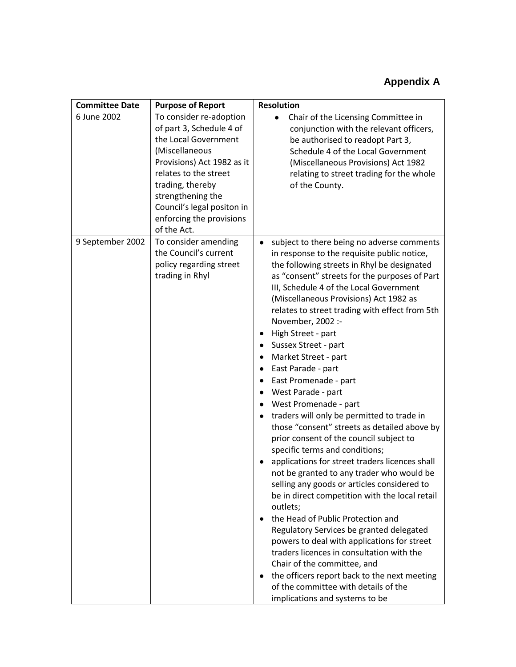# **Appendix A**

| <b>Committee Date</b> | <b>Purpose of Report</b>                                                                                                                                                                                                                                               | <b>Resolution</b>                                                                                                                                                                                                                                                                                                                                                                                                                                                                                                                                                                                                                                                                                                                                                                                                                                                                                                                                                                                                                                                                                                                                                                                                                                                          |
|-----------------------|------------------------------------------------------------------------------------------------------------------------------------------------------------------------------------------------------------------------------------------------------------------------|----------------------------------------------------------------------------------------------------------------------------------------------------------------------------------------------------------------------------------------------------------------------------------------------------------------------------------------------------------------------------------------------------------------------------------------------------------------------------------------------------------------------------------------------------------------------------------------------------------------------------------------------------------------------------------------------------------------------------------------------------------------------------------------------------------------------------------------------------------------------------------------------------------------------------------------------------------------------------------------------------------------------------------------------------------------------------------------------------------------------------------------------------------------------------------------------------------------------------------------------------------------------------|
| 6 June 2002           | To consider re-adoption<br>of part 3, Schedule 4 of<br>the Local Government<br>(Miscellaneous<br>Provisions) Act 1982 as it<br>relates to the street<br>trading, thereby<br>strengthening the<br>Council's legal positon in<br>enforcing the provisions<br>of the Act. | Chair of the Licensing Committee in<br>٠<br>conjunction with the relevant officers,<br>be authorised to readopt Part 3,<br>Schedule 4 of the Local Government<br>(Miscellaneous Provisions) Act 1982<br>relating to street trading for the whole<br>of the County.                                                                                                                                                                                                                                                                                                                                                                                                                                                                                                                                                                                                                                                                                                                                                                                                                                                                                                                                                                                                         |
| 9 September 2002      | To consider amending<br>the Council's current<br>policy regarding street<br>trading in Rhyl                                                                                                                                                                            | subject to there being no adverse comments<br>٠<br>in response to the requisite public notice,<br>the following streets in Rhyl be designated<br>as "consent" streets for the purposes of Part<br>III, Schedule 4 of the Local Government<br>(Miscellaneous Provisions) Act 1982 as<br>relates to street trading with effect from 5th<br>November, 2002 :-<br>High Street - part<br>Sussex Street - part<br>٠<br>Market Street - part<br>East Parade - part<br>East Promenade - part<br>West Parade - part<br>West Promenade - part<br>traders will only be permitted to trade in<br>those "consent" streets as detailed above by<br>prior consent of the council subject to<br>specific terms and conditions;<br>applications for street traders licences shall<br>٠<br>not be granted to any trader who would be<br>selling any goods or articles considered to<br>be in direct competition with the local retail<br>outlets;<br>the Head of Public Protection and<br>Regulatory Services be granted delegated<br>powers to deal with applications for street<br>traders licences in consultation with the<br>Chair of the committee, and<br>the officers report back to the next meeting<br>٠<br>of the committee with details of the<br>implications and systems to be |